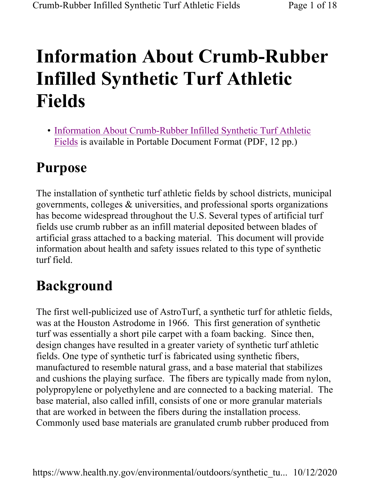# Information About Crumb-Rubber Infilled Synthetic Turf Athletic Fields

• Information About Crumb-Rubber Infilled Synthetic Turf Athletic Fields is available in Portable Document Format (PDF, 12 pp.)

# Purpose

The installation of synthetic turf athletic fields by school districts, municipal governments, colleges & universities, and professional sports organizations has become widespread throughout the U.S. Several types of artificial turf fields use crumb rubber as an infill material deposited between blades of artificial grass attached to a backing material. This document will provide information about health and safety issues related to this type of synthetic turf field.

# Background

The first well-publicized use of AstroTurf, a synthetic turf for athletic fields, was at the Houston Astrodome in 1966. This first generation of synthetic turf was essentially a short pile carpet with a foam backing. Since then, design changes have resulted in a greater variety of synthetic turf athletic fields. One type of synthetic turf is fabricated using synthetic fibers, manufactured to resemble natural grass, and a base material that stabilizes and cushions the playing surface. The fibers are typically made from nylon, polypropylene or polyethylene and are connected to a backing material. The base material, also called infill, consists of one or more granular materials that are worked in between the fibers during the installation process. Commonly used base materials are granulated crumb rubber produced from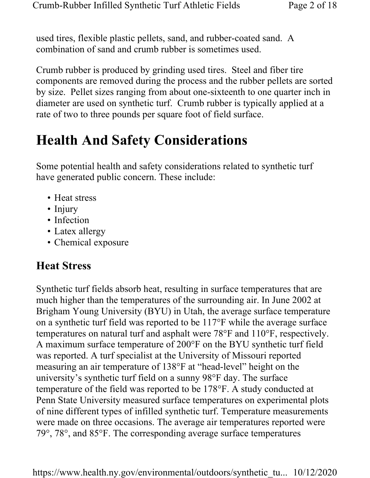used tires, flexible plastic pellets, sand, and rubber-coated sand. A combination of sand and crumb rubber is sometimes used.

Crumb rubber is produced by grinding used tires. Steel and fiber tire components are removed during the process and the rubber pellets are sorted by size. Pellet sizes ranging from about one-sixteenth to one quarter inch in diameter are used on synthetic turf. Crumb rubber is typically applied at a rate of two to three pounds per square foot of field surface.

# Health And Safety Considerations

Some potential health and safety considerations related to synthetic turf have generated public concern. These include:

- Heat stress
- Injury
- Infection
- Latex allergy
- Chemical exposure

### Heat Stress

Synthetic turf fields absorb heat, resulting in surface temperatures that are much higher than the temperatures of the surrounding air. In June 2002 at Brigham Young University (BYU) in Utah, the average surface temperature on a synthetic turf field was reported to be 117°F while the average surface temperatures on natural turf and asphalt were 78°F and 110°F, respectively. A maximum surface temperature of 200°F on the BYU synthetic turf field was reported. A turf specialist at the University of Missouri reported measuring an air temperature of 138°F at "head-level" height on the university's synthetic turf field on a sunny 98°F day. The surface temperature of the field was reported to be 178°F. A study conducted at Penn State University measured surface temperatures on experimental plots of nine different types of infilled synthetic turf. Temperature measurements were made on three occasions. The average air temperatures reported were 79°, 78°, and 85°F. The corresponding average surface temperatures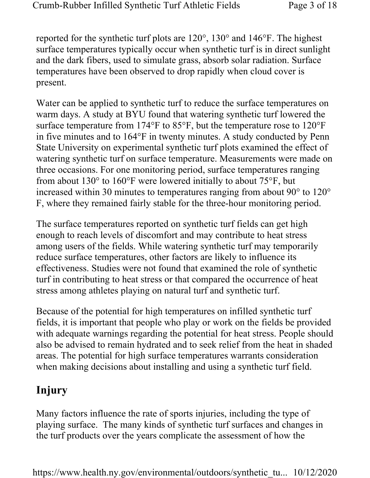reported for the synthetic turf plots are 120°, 130° and 146°F. The highest surface temperatures typically occur when synthetic turf is in direct sunlight and the dark fibers, used to simulate grass, absorb solar radiation. Surface temperatures have been observed to drop rapidly when cloud cover is present.

Water can be applied to synthetic turf to reduce the surface temperatures on warm days. A study at BYU found that watering synthetic turf lowered the surface temperature from 174°F to 85°F, but the temperature rose to 120°F in five minutes and to 164°F in twenty minutes. A study conducted by Penn State University on experimental synthetic turf plots examined the effect of watering synthetic turf on surface temperature. Measurements were made on three occasions. For one monitoring period, surface temperatures ranging from about 130° to 160°F were lowered initially to about 75°F, but increased within 30 minutes to temperatures ranging from about 90° to 120° F, where they remained fairly stable for the three-hour monitoring period.

The surface temperatures reported on synthetic turf fields can get high enough to reach levels of discomfort and may contribute to heat stress among users of the fields. While watering synthetic turf may temporarily reduce surface temperatures, other factors are likely to influence its effectiveness. Studies were not found that examined the role of synthetic turf in contributing to heat stress or that compared the occurrence of heat stress among athletes playing on natural turf and synthetic turf.

Because of the potential for high temperatures on infilled synthetic turf fields, it is important that people who play or work on the fields be provided with adequate warnings regarding the potential for heat stress. People should also be advised to remain hydrated and to seek relief from the heat in shaded areas. The potential for high surface temperatures warrants consideration when making decisions about installing and using a synthetic turf field.

### Injury

Many factors influence the rate of sports injuries, including the type of playing surface. The many kinds of synthetic turf surfaces and changes in the turf products over the years complicate the assessment of how the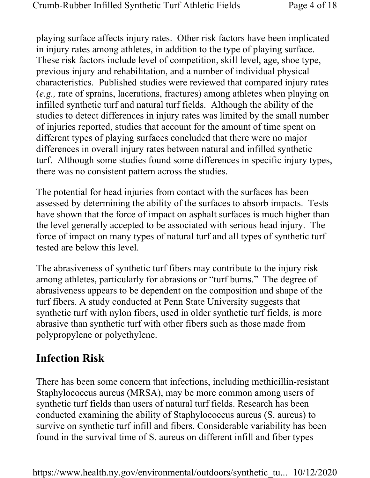playing surface affects injury rates. Other risk factors have been implicated in injury rates among athletes, in addition to the type of playing surface. These risk factors include level of competition, skill level, age, shoe type, previous injury and rehabilitation, and a number of individual physical characteristics. Published studies were reviewed that compared injury rates (e.g., rate of sprains, lacerations, fractures) among athletes when playing on infilled synthetic turf and natural turf fields. Although the ability of the studies to detect differences in injury rates was limited by the small number of injuries reported, studies that account for the amount of time spent on different types of playing surfaces concluded that there were no major differences in overall injury rates between natural and infilled synthetic turf. Although some studies found some differences in specific injury types, there was no consistent pattern across the studies.

The potential for head injuries from contact with the surfaces has been assessed by determining the ability of the surfaces to absorb impacts. Tests have shown that the force of impact on asphalt surfaces is much higher than the level generally accepted to be associated with serious head injury. The force of impact on many types of natural turf and all types of synthetic turf tested are below this level.

The abrasiveness of synthetic turf fibers may contribute to the injury risk among athletes, particularly for abrasions or "turf burns." The degree of abrasiveness appears to be dependent on the composition and shape of the turf fibers. A study conducted at Penn State University suggests that synthetic turf with nylon fibers, used in older synthetic turf fields, is more abrasive than synthetic turf with other fibers such as those made from polypropylene or polyethylene.

### Infection Risk

There has been some concern that infections, including methicillin-resistant Staphylococcus aureus (MRSA), may be more common among users of synthetic turf fields than users of natural turf fields. Research has been conducted examining the ability of Staphylococcus aureus (S. aureus) to survive on synthetic turf infill and fibers. Considerable variability has been found in the survival time of S. aureus on different infill and fiber types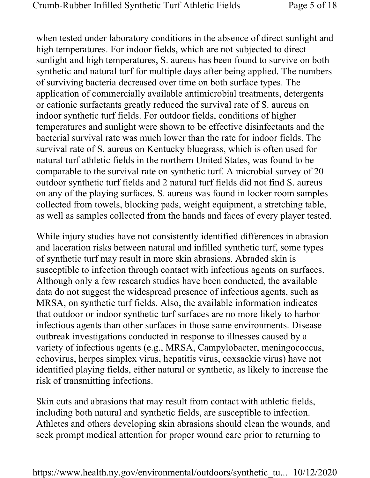when tested under laboratory conditions in the absence of direct sunlight and high temperatures. For indoor fields, which are not subjected to direct sunlight and high temperatures, S. aureus has been found to survive on both synthetic and natural turf for multiple days after being applied. The numbers of surviving bacteria decreased over time on both surface types. The application of commercially available antimicrobial treatments, detergents or cationic surfactants greatly reduced the survival rate of S. aureus on indoor synthetic turf fields. For outdoor fields, conditions of higher temperatures and sunlight were shown to be effective disinfectants and the bacterial survival rate was much lower than the rate for indoor fields. The survival rate of S. aureus on Kentucky bluegrass, which is often used for natural turf athletic fields in the northern United States, was found to be comparable to the survival rate on synthetic turf. A microbial survey of 20 outdoor synthetic turf fields and 2 natural turf fields did not find S. aureus on any of the playing surfaces. S. aureus was found in locker room samples collected from towels, blocking pads, weight equipment, a stretching table, as well as samples collected from the hands and faces of every player tested.

While injury studies have not consistently identified differences in abrasion and laceration risks between natural and infilled synthetic turf, some types of synthetic turf may result in more skin abrasions. Abraded skin is susceptible to infection through contact with infectious agents on surfaces. Although only a few research studies have been conducted, the available data do not suggest the widespread presence of infectious agents, such as MRSA, on synthetic turf fields. Also, the available information indicates that outdoor or indoor synthetic turf surfaces are no more likely to harbor infectious agents than other surfaces in those same environments. Disease outbreak investigations conducted in response to illnesses caused by a variety of infectious agents (e.g., MRSA, Campylobacter, meningococcus, echovirus, herpes simplex virus, hepatitis virus, coxsackie virus) have not identified playing fields, either natural or synthetic, as likely to increase the risk of transmitting infections.

Skin cuts and abrasions that may result from contact with athletic fields, including both natural and synthetic fields, are susceptible to infection. Athletes and others developing skin abrasions should clean the wounds, and seek prompt medical attention for proper wound care prior to returning to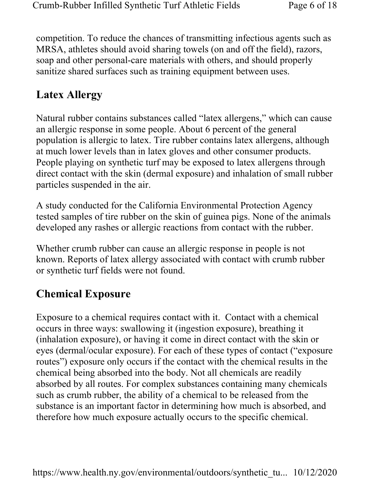competition. To reduce the chances of transmitting infectious agents such as MRSA, athletes should avoid sharing towels (on and off the field), razors, soap and other personal-care materials with others, and should properly sanitize shared surfaces such as training equipment between uses.

### Latex Allergy

Natural rubber contains substances called "latex allergens," which can cause an allergic response in some people. About 6 percent of the general population is allergic to latex. Tire rubber contains latex allergens, although at much lower levels than in latex gloves and other consumer products. People playing on synthetic turf may be exposed to latex allergens through direct contact with the skin (dermal exposure) and inhalation of small rubber particles suspended in the air.

A study conducted for the California Environmental Protection Agency tested samples of tire rubber on the skin of guinea pigs. None of the animals developed any rashes or allergic reactions from contact with the rubber.

Whether crumb rubber can cause an allergic response in people is not known. Reports of latex allergy associated with contact with crumb rubber or synthetic turf fields were not found.

### Chemical Exposure

Exposure to a chemical requires contact with it. Contact with a chemical occurs in three ways: swallowing it (ingestion exposure), breathing it (inhalation exposure), or having it come in direct contact with the skin or eyes (dermal/ocular exposure). For each of these types of contact ("exposure routes") exposure only occurs if the contact with the chemical results in the chemical being absorbed into the body. Not all chemicals are readily absorbed by all routes. For complex substances containing many chemicals such as crumb rubber, the ability of a chemical to be released from the substance is an important factor in determining how much is absorbed, and therefore how much exposure actually occurs to the specific chemical.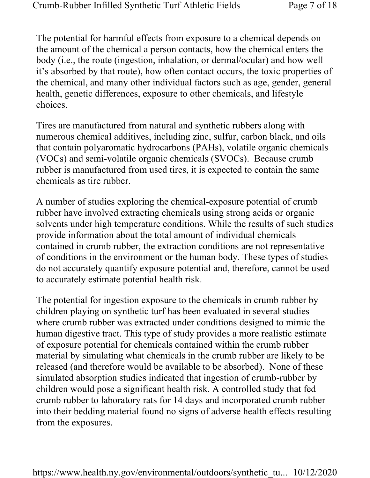The potential for harmful effects from exposure to a chemical depends on the amount of the chemical a person contacts, how the chemical enters the body (i.e., the route (ingestion, inhalation, or dermal/ocular) and how well it's absorbed by that route), how often contact occurs, the toxic properties of the chemical, and many other individual factors such as age, gender, general health, genetic differences, exposure to other chemicals, and lifestyle choices.

Tires are manufactured from natural and synthetic rubbers along with numerous chemical additives, including zinc, sulfur, carbon black, and oils that contain polyaromatic hydrocarbons (PAHs), volatile organic chemicals (VOCs) and semi-volatile organic chemicals (SVOCs). Because crumb rubber is manufactured from used tires, it is expected to contain the same chemicals as tire rubber.

A number of studies exploring the chemical-exposure potential of crumb rubber have involved extracting chemicals using strong acids or organic solvents under high temperature conditions. While the results of such studies provide information about the total amount of individual chemicals contained in crumb rubber, the extraction conditions are not representative of conditions in the environment or the human body. These types of studies do not accurately quantify exposure potential and, therefore, cannot be used to accurately estimate potential health risk.

The potential for ingestion exposure to the chemicals in crumb rubber by children playing on synthetic turf has been evaluated in several studies where crumb rubber was extracted under conditions designed to mimic the human digestive tract. This type of study provides a more realistic estimate of exposure potential for chemicals contained within the crumb rubber material by simulating what chemicals in the crumb rubber are likely to be released (and therefore would be available to be absorbed). None of these simulated absorption studies indicated that ingestion of crumb-rubber by children would pose a significant health risk. A controlled study that fed crumb rubber to laboratory rats for 14 days and incorporated crumb rubber into their bedding material found no signs of adverse health effects resulting from the exposures.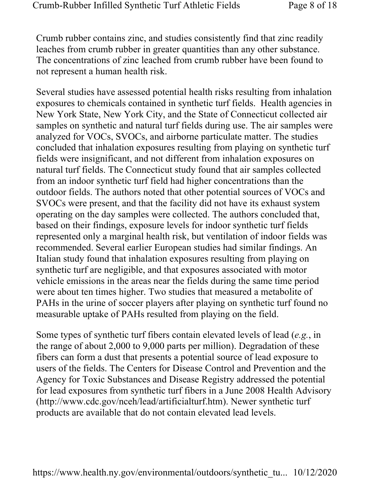Crumb rubber contains zinc, and studies consistently find that zinc readily leaches from crumb rubber in greater quantities than any other substance. The concentrations of zinc leached from crumb rubber have been found to not represent a human health risk.

Several studies have assessed potential health risks resulting from inhalation exposures to chemicals contained in synthetic turf fields. Health agencies in New York State, New York City, and the State of Connecticut collected air samples on synthetic and natural turf fields during use. The air samples were analyzed for VOCs, SVOCs, and airborne particulate matter. The studies concluded that inhalation exposures resulting from playing on synthetic turf fields were insignificant, and not different from inhalation exposures on natural turf fields. The Connecticut study found that air samples collected from an indoor synthetic turf field had higher concentrations than the outdoor fields. The authors noted that other potential sources of VOCs and SVOCs were present, and that the facility did not have its exhaust system operating on the day samples were collected. The authors concluded that, based on their findings, exposure levels for indoor synthetic turf fields represented only a marginal health risk, but ventilation of indoor fields was recommended. Several earlier European studies had similar findings. An Italian study found that inhalation exposures resulting from playing on synthetic turf are negligible, and that exposures associated with motor vehicle emissions in the areas near the fields during the same time period were about ten times higher. Two studies that measured a metabolite of PAHs in the urine of soccer players after playing on synthetic turf found no measurable uptake of PAHs resulted from playing on the field.

Some types of synthetic turf fibers contain elevated levels of lead (e.g., in the range of about 2,000 to 9,000 parts per million). Degradation of these fibers can form a dust that presents a potential source of lead exposure to users of the fields. The Centers for Disease Control and Prevention and the Agency for Toxic Substances and Disease Registry addressed the potential for lead exposures from synthetic turf fibers in a June 2008 Health Advisory (http://www.cdc.gov/nceh/lead/artificialturf.htm). Newer synthetic turf products are available that do not contain elevated lead levels.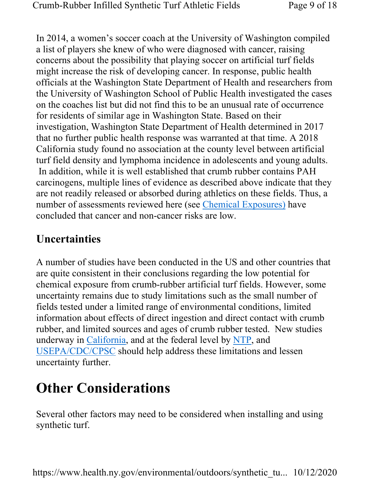In 2014, a women's soccer coach at the University of Washington compiled a list of players she knew of who were diagnosed with cancer, raising concerns about the possibility that playing soccer on artificial turf fields might increase the risk of developing cancer. In response, public health officials at the Washington State Department of Health and researchers from the University of Washington School of Public Health investigated the cases on the coaches list but did not find this to be an unusual rate of occurrence for residents of similar age in Washington State. Based on their investigation, Washington State Department of Health determined in 2017 that no further public health response was warranted at that time. A 2018 California study found no association at the county level between artificial turf field density and lymphoma incidence in adolescents and young adults. In addition, while it is well established that crumb rubber contains PAH carcinogens, multiple lines of evidence as described above indicate that they are not readily released or absorbed during athletics on these fields. Thus, a number of assessments reviewed here (see *Chemical Exposures*) have concluded that cancer and non-cancer risks are low.

### Uncertainties

A number of studies have been conducted in the US and other countries that are quite consistent in their conclusions regarding the low potential for chemical exposure from crumb-rubber artificial turf fields. However, some uncertainty remains due to study limitations such as the small number of fields tested under a limited range of environmental conditions, limited information about effects of direct ingestion and direct contact with crumb rubber, and limited sources and ages of crumb rubber tested. New studies underway in California, and at the federal level by NTP, and USEPA/CDC/CPSC should help address these limitations and lessen uncertainty further.

# Other Considerations

Several other factors may need to be considered when installing and using synthetic turf.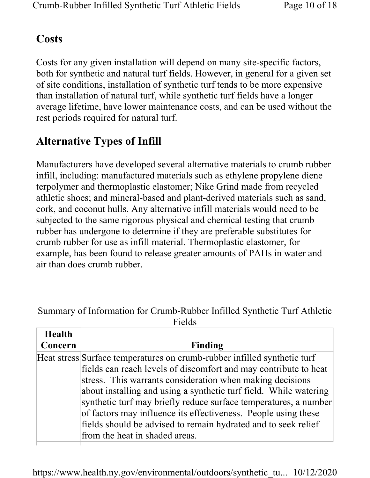#### **Costs**

Costs for any given installation will depend on many site-specific factors, both for synthetic and natural turf fields. However, in general for a given set of site conditions, installation of synthetic turf tends to be more expensive than installation of natural turf, while synthetic turf fields have a longer average lifetime, have lower maintenance costs, and can be used without the rest periods required for natural turf.

## Alternative Types of Infill

Manufacturers have developed several alternative materials to crumb rubber infill, including: manufactured materials such as ethylene propylene diene terpolymer and thermoplastic elastomer; Nike Grind made from recycled athletic shoes; and mineral-based and plant-derived materials such as sand, cork, and coconut hulls. Any alternative infill materials would need to be subjected to the same rigorous physical and chemical testing that crumb rubber has undergone to determine if they are preferable substitutes for crumb rubber for use as infill material. Thermoplastic elastomer, for example, has been found to release greater amounts of PAHs in water and air than does crumb rubber.

Summary of Information for Crumb-Rubber Infilled Synthetic Turf Athletic Fields

| Health  |                                                                                                                                                                                                                                                                                                                                                                                                                                                                                                                          |
|---------|--------------------------------------------------------------------------------------------------------------------------------------------------------------------------------------------------------------------------------------------------------------------------------------------------------------------------------------------------------------------------------------------------------------------------------------------------------------------------------------------------------------------------|
| Concern | Finding                                                                                                                                                                                                                                                                                                                                                                                                                                                                                                                  |
|         | Heat stress Surface temperatures on crumb-rubber infilled synthetic turf<br>fields can reach levels of discomfort and may contribute to heat<br>stress. This warrants consideration when making decisions<br>about installing and using a synthetic turf field. While watering<br>synthetic turf may briefly reduce surface temperatures, a number<br>of factors may influence its effectiveness. People using these<br>fields should be advised to remain hydrated and to seek relief<br>from the heat in shaded areas. |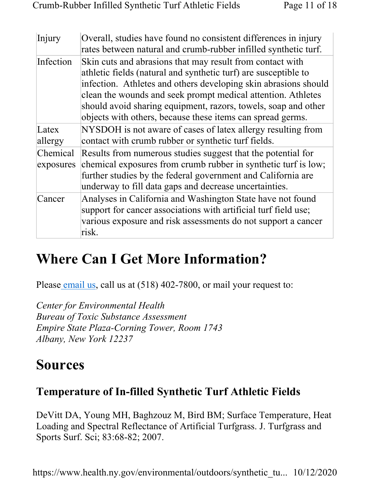| Injury                | Overall, studies have found no consistent differences in injury<br>rates between natural and crumb-rubber infilled synthetic turf.                                                                                                                                                                                                                                                              |
|-----------------------|-------------------------------------------------------------------------------------------------------------------------------------------------------------------------------------------------------------------------------------------------------------------------------------------------------------------------------------------------------------------------------------------------|
| Infection             | Skin cuts and abrasions that may result from contact with<br>athletic fields (natural and synthetic turf) are susceptible to<br>infection. Athletes and others developing skin abrasions should<br>clean the wounds and seek prompt medical attention. Athletes<br>should avoid sharing equipment, razors, towels, soap and other<br>objects with others, because these items can spread germs. |
| Latex<br>allergy      | NYSDOH is not aware of cases of latex allergy resulting from<br>contact with crumb rubber or synthetic turf fields.                                                                                                                                                                                                                                                                             |
| Chemical<br>exposures | Results from numerous studies suggest that the potential for<br>chemical exposures from crumb rubber in synthetic turf is low;<br>further studies by the federal government and California are<br>underway to fill data gaps and decrease uncertainties.                                                                                                                                        |
| Cancer                | Analyses in California and Washington State have not found<br>support for cancer associations with artificial turf field use;<br>various exposure and risk assessments do not support a cancer<br>risk.                                                                                                                                                                                         |

# Where Can I Get More Information?

Please email us, call us at  $(518)$  402-7800, or mail your request to:

Center for Environmental Health Bureau of Toxic Substance Assessment Empire State Plaza-Corning Tower, Room 1743 Albany, New York 12237

# Sources

### Temperature of In-filled Synthetic Turf Athletic Fields

DeVitt DA, Young MH, Baghzouz M, Bird BM; Surface Temperature, Heat Loading and Spectral Reflectance of Artificial Turfgrass. J. Turfgrass and Sports Surf. Sci; 83:68-82; 2007.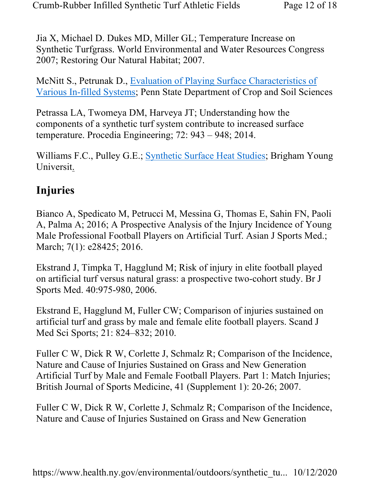Jia X, Michael D. Dukes MD, Miller GL; Temperature Increase on Synthetic Turfgrass. World Environmental and Water Resources Congress 2007; Restoring Our Natural Habitat; 2007.

McNitt S., Petrunak D., Evaluation of Playing Surface Characteristics of Various In-filled Systems; Penn State Department of Crop and Soil Sciences

Petrassa LA, Twomeya DM, Harveya JT; Understanding how the components of a synthetic turf system contribute to increased surface temperature. Procedia Engineering; 72: 943 – 948; 2014.

Williams F.C., Pulley G.E.; Synthetic Surface Heat Studies; Brigham Young Universit.

### Injuries

Bianco A, Spedicato M, Petrucci M, Messina G, Thomas E, Sahin FN, Paoli A, Palma A; 2016; A Prospective Analysis of the Injury Incidence of Young Male Professional Football Players on Artificial Turf. Asian J Sports Med.; March; 7(1): e28425; 2016.

Ekstrand J, Timpka T, Hagglund M; Risk of injury in elite football played on artificial turf versus natural grass: a prospective two-cohort study. Br J Sports Med. 40:975-980, 2006.

Ekstrand E, Hagglund M, Fuller CW; Comparison of injuries sustained on artificial turf and grass by male and female elite football players. Scand J Med Sci Sports; 21: 824–832; 2010.

Fuller C W, Dick R W, Corlette J, Schmalz R; Comparison of the Incidence, Nature and Cause of Injuries Sustained on Grass and New Generation Artificial Turf by Male and Female Football Players. Part 1: Match Injuries; British Journal of Sports Medicine, 41 (Supplement 1): 20-26; 2007.

Fuller C W, Dick R W, Corlette J, Schmalz R; Comparison of the Incidence, Nature and Cause of Injuries Sustained on Grass and New Generation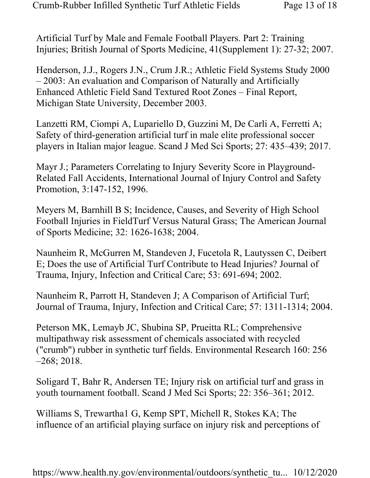Artificial Turf by Male and Female Football Players. Part 2: Training Injuries; British Journal of Sports Medicine, 41(Supplement 1): 27-32; 2007.

Henderson, J.J., Rogers J.N., Crum J.R.; Athletic Field Systems Study 2000 – 2003: An evaluation and Comparison of Naturally and Artificially Enhanced Athletic Field Sand Textured Root Zones – Final Report, Michigan State University, December 2003.

Lanzetti RM, Ciompi A, Lupariello D, Guzzini M, De Carli A, Ferretti A; Safety of third-generation artificial turf in male elite professional soccer players in Italian major league. Scand J Med Sci Sports; 27: 435–439; 2017.

Mayr J.; Parameters Correlating to Injury Severity Score in Playground-Related Fall Accidents, International Journal of Injury Control and Safety Promotion, 3:147-152, 1996.

Meyers M, Barnhill B S; Incidence, Causes, and Severity of High School Football Injuries in FieldTurf Versus Natural Grass; The American Journal of Sports Medicine; 32: 1626-1638; 2004.

Naunheim R, McGurren M, Standeven J, Fucetola R, Lautyssen C, Deibert E; Does the use of Artificial Turf Contribute to Head Injuries? Journal of Trauma, Injury, Infection and Critical Care; 53: 691-694; 2002.

Naunheim R, Parrott H, Standeven J; A Comparison of Artificial Turf; Journal of Trauma, Injury, Infection and Critical Care; 57: 1311-1314; 2004.

Peterson MK, Lemayb JC, Shubina SP, Prueitta RL; Comprehensive multipathway risk assessment of chemicals associated with recycled ("crumb") rubber in synthetic turf fields. Environmental Research 160: 256 –268; 2018.

Soligard T, Bahr R, Andersen TE; Injury risk on artificial turf and grass in youth tournament football. Scand J Med Sci Sports; 22: 356–361; 2012.

Williams S, Trewartha1 G, Kemp SPT, Michell R, Stokes KA; The influence of an artificial playing surface on injury risk and perceptions of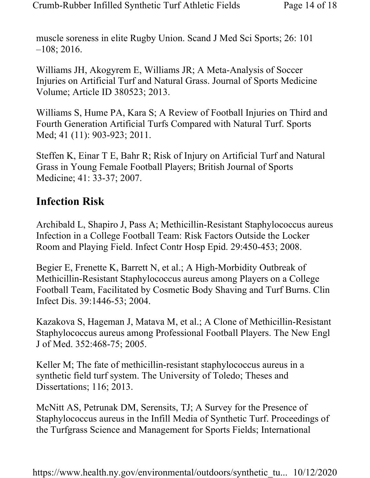muscle soreness in elite Rugby Union. Scand J Med Sci Sports; 26: 101 –108; 2016.

Williams JH, Akogyrem E, Williams JR; A Meta-Analysis of Soccer Injuries on Artificial Turf and Natural Grass. Journal of Sports Medicine Volume; Article ID 380523; 2013.

Williams S, Hume PA, Kara S; A Review of Football Injuries on Third and Fourth Generation Artificial Turfs Compared with Natural Turf. Sports Med; 41 (11): 903-923; 2011.

Steffen K, Einar T E, Bahr R; Risk of Injury on Artificial Turf and Natural Grass in Young Female Football Players; British Journal of Sports Medicine; 41: 33-37; 2007.

#### Infection Risk

Archibald L, Shapiro J, Pass A; Methicillin-Resistant Staphylococcus aureus Infection in a College Football Team: Risk Factors Outside the Locker Room and Playing Field. Infect Contr Hosp Epid. 29:450-453; 2008.

Begier E, Frenette K, Barrett N, et al.; A High-Morbidity Outbreak of Methicillin-Resistant Staphylococcus aureus among Players on a College Football Team, Facilitated by Cosmetic Body Shaving and Turf Burns. Clin Infect Dis. 39:1446-53; 2004.

Kazakova S, Hageman J, Matava M, et al.; A Clone of Methicillin-Resistant Staphylococcus aureus among Professional Football Players. The New Engl J of Med. 352:468-75; 2005.

Keller M; The fate of methicillin-resistant staphylococcus aureus in a synthetic field turf system. The University of Toledo; Theses and Dissertations; 116; 2013.

McNitt AS, Petrunak DM, Serensits, TJ; A Survey for the Presence of Staphylococcus aureus in the Infill Media of Synthetic Turf. Proceedings of the Turfgrass Science and Management for Sports Fields; International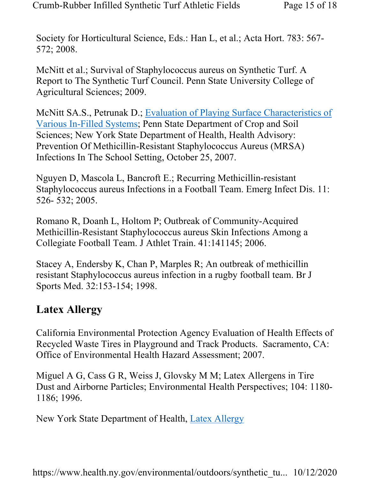Society for Horticultural Science, Eds.: Han L, et al.; Acta Hort. 783: 567- 572; 2008.

McNitt et al.; Survival of Staphylococcus aureus on Synthetic Turf. A Report to The Synthetic Turf Council. Penn State University College of Agricultural Sciences; 2009.

McNitt SA.S., Petrunak D.; Evaluation of Playing Surface Characteristics of Various In-Filled Systems; Penn State Department of Crop and Soil Sciences; New York State Department of Health, Health Advisory: Prevention Of Methicillin-Resistant Staphylococcus Aureus (MRSA) Infections In The School Setting, October 25, 2007.

Nguyen D, Mascola L, Bancroft E.; Recurring Methicillin-resistant Staphylococcus aureus Infections in a Football Team. Emerg Infect Dis. 11: 526- 532; 2005.

Romano R, Doanh L, Holtom P; Outbreak of Community-Acquired Methicillin-Resistant Staphylococcus aureus Skin Infections Among a Collegiate Football Team. J Athlet Train. 41:141145; 2006.

Stacey A, Endersby K, Chan P, Marples R; An outbreak of methicillin resistant Staphylococcus aureus infection in a rugby football team. Br J Sports Med. 32:153-154; 1998.

#### Latex Allergy

California Environmental Protection Agency Evaluation of Health Effects of Recycled Waste Tires in Playground and Track Products. Sacramento, CA: Office of Environmental Health Hazard Assessment; 2007.

Miguel A G, Cass G R, Weiss J, Glovsky M M; Latex Allergens in Tire Dust and Airborne Particles; Environmental Health Perspectives; 104: 1180- 1186; 1996.

New York State Department of Health, Latex Allergy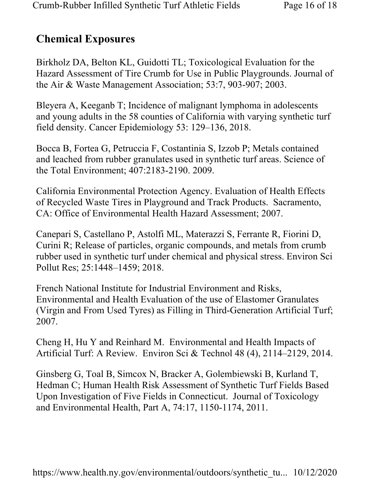### Chemical Exposures

Birkholz DA, Belton KL, Guidotti TL; Toxicological Evaluation for the Hazard Assessment of Tire Crumb for Use in Public Playgrounds. Journal of the Air & Waste Management Association; 53:7, 903-907; 2003.

Bleyera A, Keeganb T; Incidence of malignant lymphoma in adolescents and young adults in the 58 counties of California with varying synthetic turf field density. Cancer Epidemiology 53: 129–136, 2018.

Bocca B, Fortea G, Petruccia F, Costantinia S, Izzob P; Metals contained and leached from rubber granulates used in synthetic turf areas. Science of the Total Environment; 407:2183-2190. 2009.

California Environmental Protection Agency. Evaluation of Health Effects of Recycled Waste Tires in Playground and Track Products. Sacramento, CA: Office of Environmental Health Hazard Assessment; 2007.

Canepari S, Castellano P, Astolfi ML, Materazzi S, Ferrante R, Fiorini D, Curini R; Release of particles, organic compounds, and metals from crumb rubber used in synthetic turf under chemical and physical stress. Environ Sci Pollut Res; 25:1448–1459; 2018.

French National Institute for Industrial Environment and Risks, Environmental and Health Evaluation of the use of Elastomer Granulates (Virgin and From Used Tyres) as Filling in Third-Generation Artificial Turf; 2007.

Cheng H, Hu Y and Reinhard M. Environmental and Health Impacts of Artificial Turf: A Review. Environ Sci & Technol 48 (4), 2114–2129, 2014.

Ginsberg G, Toal B, Simcox N, Bracker A, Golembiewski B, Kurland T, Hedman C; Human Health Risk Assessment of Synthetic Turf Fields Based Upon Investigation of Five Fields in Connecticut. Journal of Toxicology and Environmental Health, Part A, 74:17, 1150-1174, 2011.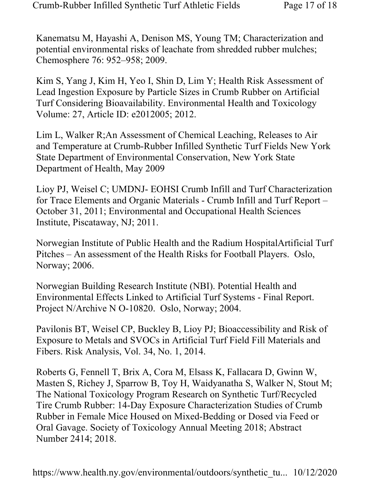Kanematsu M, Hayashi A, Denison MS, Young TM; Characterization and potential environmental risks of leachate from shredded rubber mulches; Chemosphere 76: 952–958; 2009.

Kim S, Yang J, Kim H, Yeo I, Shin D, Lim Y; Health Risk Assessment of Lead Ingestion Exposure by Particle Sizes in Crumb Rubber on Artificial Turf Considering Bioavailability. Environmental Health and Toxicology Volume: 27, Article ID: e2012005; 2012.

Lim L, Walker R;An Assessment of Chemical Leaching, Releases to Air and Temperature at Crumb-Rubber Infilled Synthetic Turf Fields New York State Department of Environmental Conservation, New York State Department of Health, May 2009

Lioy PJ, Weisel C; UMDNJ- EOHSI Crumb Infill and Turf Characterization for Trace Elements and Organic Materials - Crumb Infill and Turf Report – October 31, 2011; Environmental and Occupational Health Sciences Institute, Piscataway, NJ; 2011.

Norwegian Institute of Public Health and the Radium HospitalArtificial Turf Pitches – An assessment of the Health Risks for Football Players. Oslo, Norway; 2006.

Norwegian Building Research Institute (NBI). Potential Health and Environmental Effects Linked to Artificial Turf Systems - Final Report. Project N/Archive N O-10820. Oslo, Norway; 2004.

Pavilonis BT, Weisel CP, Buckley B, Lioy PJ; Bioaccessibility and Risk of Exposure to Metals and SVOCs in Artificial Turf Field Fill Materials and Fibers. Risk Analysis, Vol. 34, No. 1, 2014.

Roberts G, Fennell T, Brix A, Cora M, Elsass K, Fallacara D, Gwinn W, Masten S, Richey J, Sparrow B, Toy H, Waidyanatha S, Walker N, Stout M; The National Toxicology Program Research on Synthetic Turf/Recycled Tire Crumb Rubber: 14-Day Exposure Characterization Studies of Crumb Rubber in Female Mice Housed on Mixed-Bedding or Dosed via Feed or Oral Gavage. Society of Toxicology Annual Meeting 2018; Abstract Number 2414; 2018.